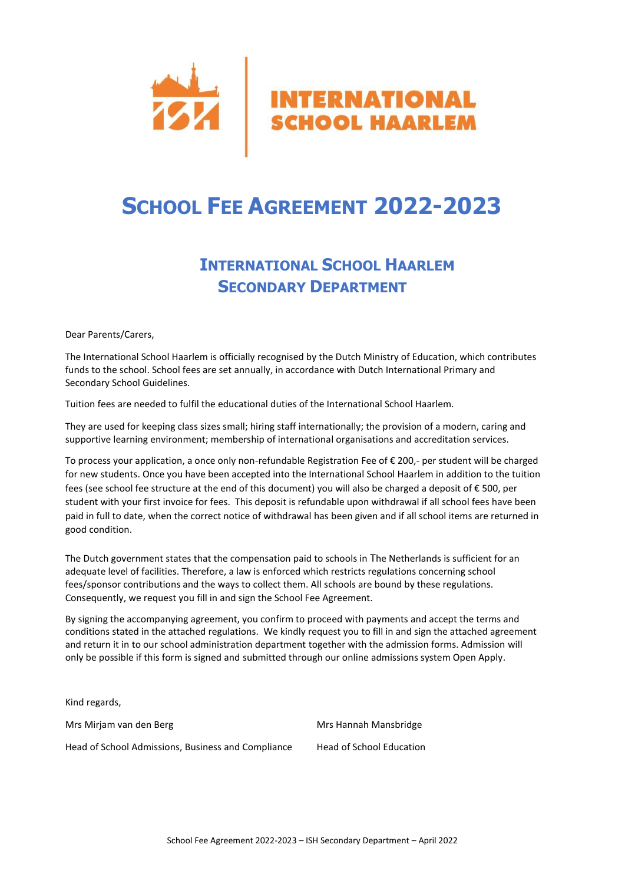

# **SCHOOL FEE AGREEMENT 2022-2023**

## **INTERNATIONAL SCHOOL HAARLEM SECONDARY DEPARTMENT**

Dear Parents/Carers,

The International School Haarlem is officially recognised by the Dutch Ministry of Education, which contributes funds to the school. School fees are set annually, in accordance with Dutch International Primary and Secondary School Guidelines.

Tuition fees are needed to fulfil the educational duties of the International School Haarlem.

They are used for keeping class sizes small; hiring staff internationally; the provision of a modern, caring and supportive learning environment; membership of international organisations and accreditation services.

To process your application, a once only non-refundable Registration Fee of € 200,- per student will be charged for new students. Once you have been accepted into the International School Haarlem in addition to the tuition fees (see school fee structure at the end of this document) you will also be charged a deposit of € 500, per student with your first invoice for fees. This deposit is refundable upon withdrawal if all school fees have been paid in full to date, when the correct notice of withdrawal has been given and if all school items are returned in good condition.

The Dutch government states that the compensation paid to schools in The Netherlands is sufficient for an adequate level of facilities. Therefore, a law is enforced which restricts regulations concerning school fees/sponsor contributions and the ways to collect them. All schools are bound by these regulations. Consequently, we request you fill in and sign the School Fee Agreement.

By signing the accompanying agreement, you confirm to proceed with payments and accept the terms and conditions stated in the attached regulations. We kindly request you to fill in and sign the attached agreement and return it in to our school administration department together with the admission forms. Admission will only be possible if this form is signed and submitted through our online admissions system Open Apply.

Kind regards, Mrs Mirjam van den Berg Mrs Hannah Mansbridge Head of School Admissions, Business and Compliance Head of School Education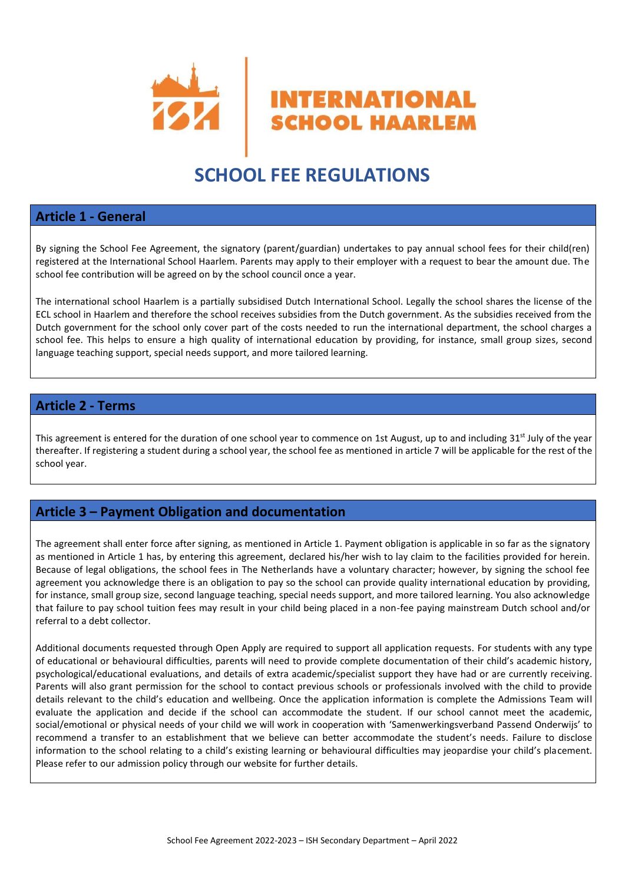

## **SCHOOL FEE REGULATIONS**

#### **Article 1 - General**

By signing the School Fee Agreement, the signatory (parent/guardian) undertakes to pay annual school fees for their child(ren) registered at the International School Haarlem. Parents may apply to their employer with a request to bear the amount due. The school fee contribution will be agreed on by the school council once a year.

The international school Haarlem is a partially subsidised Dutch International School. Legally the school shares the license of the ECL school in Haarlem and therefore the school receives subsidies from the Dutch government. As the subsidies received from the Dutch government for the school only cover part of the costs needed to run the international department, the school charges a school fee. This helps to ensure a high quality of international education by providing, for instance, small group sizes, second language teaching support, special needs support, and more tailored learning.

#### **Article 2 - Terms**

This agreement is entered for the duration of one school year to commence on 1st August, up to and including 31<sup>st</sup> July of the year thereafter. If registering a student during a school year, the school fee as mentioned in article 7 will be applicable for the rest of the school year.

### **Article 3 – Payment Obligation and documentation**

The agreement shall enter force after signing, as mentioned in Article 1. Payment obligation is applicable in so far as the signatory as mentioned in Article 1 has, by entering this agreement, declared his/her wish to lay claim to the facilities provided for herein. Because of legal obligations, the school fees in The Netherlands have a voluntary character; however, by signing the school fee agreement you acknowledge there is an obligation to pay so the school can provide quality international education by providing, for instance, small group size, second language teaching, special needs support, and more tailored learning. You also acknowledge that failure to pay school tuition fees may result in your child being placed in a non-fee paying mainstream Dutch school and/or referral to a debt collector.

Additional documents requested through Open Apply are required to support all application requests. For students with any type of educational or behavioural difficulties, parents will need to provide complete documentation of their child's academic history, psychological/educational evaluations, and details of extra academic/specialist support they have had or are currently receiving. Parents will also grant permission for the school to contact previous schools or professionals involved with the child to provide details relevant to the child's education and wellbeing. Once the application information is complete the Admissions Team will evaluate the application and decide if the school can accommodate the student. If our school cannot meet the academic, social/emotional or physical needs of your child we will work in cooperation with 'Samenwerkingsverband Passend Onderwijs' to recommend a transfer to an establishment that we believe can better accommodate the student's needs. Failure to disclose information to the school relating to a child's existing learning or behavioural difficulties may jeopardise your child's placement. Please refer to our admission policy through our website for further details.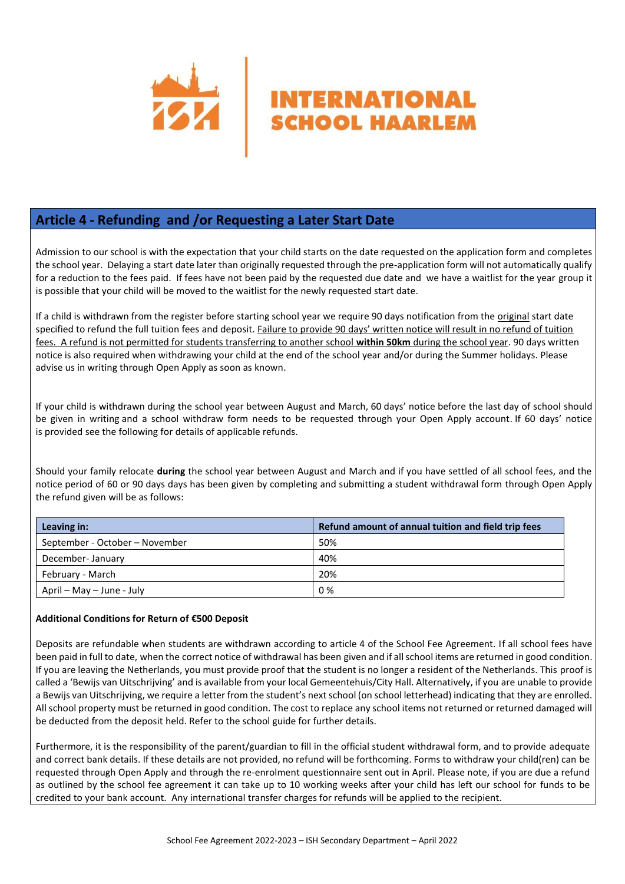

## **Article 4 - Refunding and /or Requesting a Later Start Date**

Admission to our school is with the expectation that your child starts on the date requested on the application form and completes the school year. Delaying a start date later than originally requested through the pre-application form will not automatically qualify for a reduction to the fees paid. If fees have not been paid by the requested due date and we have a waitlist for the year group it is possible that your child will be moved to the waitlist for the newly requested start date.

If a child is withdrawn from the register before starting school year we require 90 days notification from the original start date specified to refund the full tuition fees and deposit. Failure to provide 90 days' written notice will result in no refund of tuition fees. A refund is not permitted for students transferring to another school **within 50km** during the school year. 90 days written notice is also required when withdrawing your child at the end of the school year and/or during the Summer holidays. Please advise us in writing through Open Apply as soon as known.

If your child is withdrawn during the school year between August and March, 60 days' notice before the last day of school should be given in writing and a school withdraw form needs to be requested through your Open Apply account. If 60 days' notice is provided see the following for details of applicable refunds.

Should your family relocate **during** the school year between August and March and if you have settled of all school fees, and the notice period of 60 or 90 days days has been given by completing and submitting a student withdrawal form through Open Apply the refund given will be as follows:

| Leaving in:                    | Refund amount of annual tuition and field trip fees |
|--------------------------------|-----------------------------------------------------|
| September - October - November | 50%                                                 |
| December-January               | 40%                                                 |
| February - March               | 20%                                                 |
| April – May – June - July      | 0%                                                  |

#### **Additional Conditions for Return of €500 Deposit**

Deposits are refundable when students are withdrawn according to article 4 of the School Fee Agreement. If all school fees have been paid in full to date, when the correct notice of withdrawal has been given and if all school items are returned in good condition. If you are leaving the Netherlands, you must provide proof that the student is no longer a resident of the Netherlands. This proof is called a 'Bewijs van Uitschrijving' and is available from your local Gemeentehuis/City Hall. Alternatively, if you are unable to provide a Bewijs van Uitschrijving, we require a letter from the student's next school (on school letterhead) indicating that they are enrolled. All school property must be returned in good condition. The cost to replace any school items not returned or returned damaged will be deducted from the deposit held. Refer to the school guide for further details.

Furthermore, it is the responsibility of the parent/guardian to fill in the official student withdrawal form, and to provide adequate and correct bank details. If these details are not provided, no refund will be forthcoming. Forms to withdraw your child(ren) can be requested through Open Apply and through the re-enrolment questionnaire sent out in April. Please note, if you are due a refund as outlined by the school fee agreement it can take up to 10 working weeks after your child has left our school for funds to be credited to your bank account. Any international transfer charges for refunds will be applied to the recipient.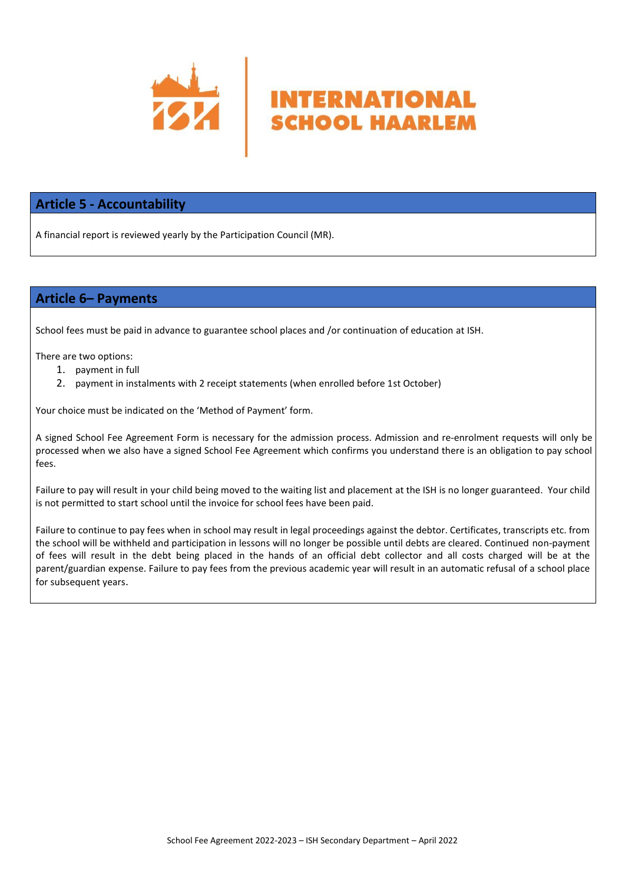

#### **Article 5 - Accountability**

A financial report is reviewed yearly by the Participation Council (MR).

### **Article 6– Payments**

School fees must be paid in advance to guarantee school places and /or continuation of education at ISH.

There are two options:

- 1. payment in full
- 2. payment in instalments with 2 receipt statements (when enrolled before 1st October)

Your choice must be indicated on the 'Method of Payment' form.

A signed School Fee Agreement Form is necessary for the admission process. Admission and re-enrolment requests will only be processed when we also have a signed School Fee Agreement which confirms you understand there is an obligation to pay school fees.

**INTERNATIONAL SCHOOL HAARLEM** 

Failure to pay will result in your child being moved to the waiting list and placement at the ISH is no longer guaranteed. Your child is not permitted to start school until the invoice for school fees have been paid.

Failure to continue to pay fees when in school may result in legal proceedings against the debtor. Certificates, transcripts etc. from the school will be withheld and participation in lessons will no longer be possible until debts are cleared. Continued non-payment of fees will result in the debt being placed in the hands of an official debt collector and all costs charged will be at the parent/guardian expense. Failure to pay fees from the previous academic year will result in an automatic refusal of a school place for subsequent years.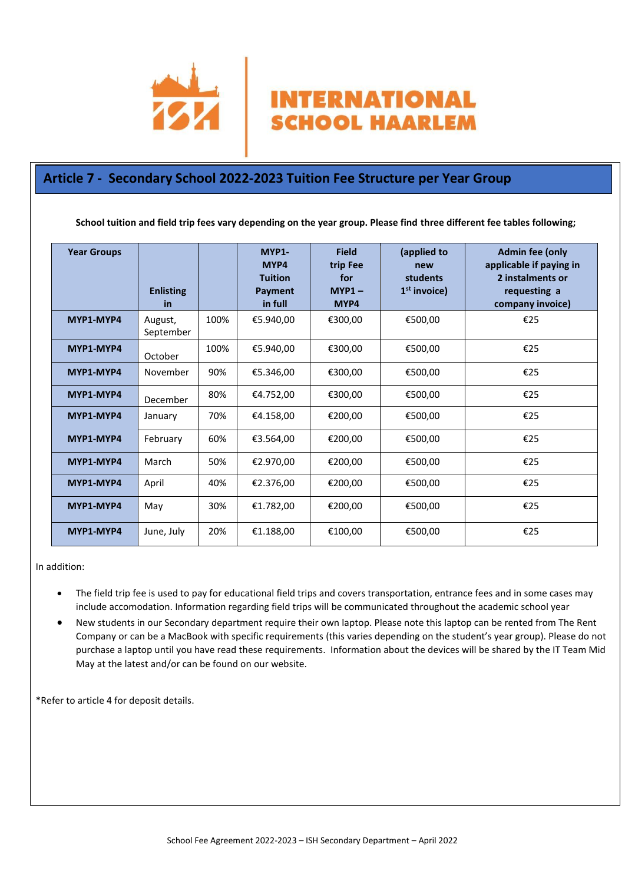

## **Article 7 - Secondary School 2022-2023 Tuition Fee Structure per Year Group**

**School tuition and field trip fees vary depending on the year group. Please find three different fee tables following;**

**INTERNATIONAL** 

**SCHOOL HAARLEM** 

| <b>Year Groups</b> | <b>Enlisting</b><br>in |      | MYP1-<br>MYP4<br><b>Tuition</b><br>Payment<br>in full | <b>Field</b><br>trip Fee<br>for<br>$MYP1 -$<br>MYP4 | (applied to<br>new<br><b>students</b><br>$1st$ invoice) | <b>Admin fee (only</b><br>applicable if paying in<br>2 instalments or<br>requesting a<br>company invoice) |
|--------------------|------------------------|------|-------------------------------------------------------|-----------------------------------------------------|---------------------------------------------------------|-----------------------------------------------------------------------------------------------------------|
| MYP1-MYP4          | August,<br>September   | 100% | €5.940,00                                             | €300,00                                             | €500,00                                                 | €25                                                                                                       |
| MYP1-MYP4          | October                | 100% | €5.940,00                                             | €300,00                                             | €500,00                                                 | €25                                                                                                       |
| MYP1-MYP4          | November               | 90%  | €5.346,00                                             | €300,00                                             | €500,00                                                 | €25                                                                                                       |
| MYP1-MYP4          | December               | 80%  | €4.752,00                                             | €300,00                                             | €500,00                                                 | €25                                                                                                       |
| MYP1-MYP4          | January                | 70%  | €4.158,00                                             | €200,00                                             | €500,00                                                 | €25                                                                                                       |
| MYP1-MYP4          | February               | 60%  | €3.564,00                                             | €200,00                                             | €500,00                                                 | €25                                                                                                       |
| MYP1-MYP4          | March                  | 50%  | €2.970,00                                             | €200,00                                             | €500,00                                                 | €25                                                                                                       |
| MYP1-MYP4          | April                  | 40%  | €2.376,00                                             | €200,00                                             | €500,00                                                 | €25                                                                                                       |
| MYP1-MYP4          | May                    | 30%  | €1.782,00                                             | €200,00                                             | €500,00                                                 | €25                                                                                                       |
| MYP1-MYP4          | June, July             | 20%  | €1.188,00                                             | €100,00                                             | €500,00                                                 | €25                                                                                                       |

In addition:

- The field trip fee is used to pay for educational field trips and covers transportation, entrance fees and in some cases may include accomodation. Information regarding field trips will be communicated throughout the academic school year
- New students in our Secondary department require their own laptop. Please note this laptop can be rented from The Rent Company or can be a MacBook with specific requirements (this varies depending on the student's year group). Please do not purchase a laptop until you have read these requirements. Information about the devices will be shared by the IT Team Mid May at the latest and/or can be found on our website.

\*Refer to article 4 for deposit details.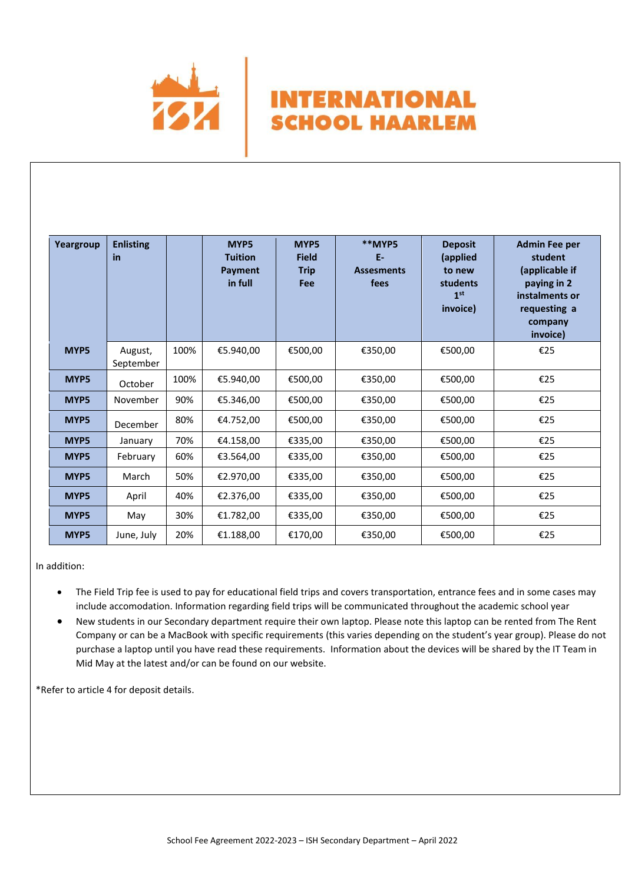

| Yeargroup | <b>Enlisting</b><br>in |      | MYP5<br><b>Tuition</b><br>Payment<br>in full | MYP5<br><b>Field</b><br><b>Trip</b><br>Fee | **MYP5<br>E-<br><b>Assesments</b><br>fees | <b>Deposit</b><br>(applied<br>to new<br>students<br>1 <sup>st</sup><br>invoice) | <b>Admin Fee per</b><br>student<br>(applicable if<br>paying in 2<br>instalments or<br>requesting a<br>company<br>invoice) |
|-----------|------------------------|------|----------------------------------------------|--------------------------------------------|-------------------------------------------|---------------------------------------------------------------------------------|---------------------------------------------------------------------------------------------------------------------------|
| MYP5      | August,<br>September   | 100% | €5.940,00                                    | €500,00                                    | €350,00                                   | €500,00                                                                         | €25                                                                                                                       |
| MYP5      | October                | 100% | €5.940,00                                    | €500,00                                    | €350,00                                   | €500,00                                                                         | €25                                                                                                                       |
| MYP5      | November               | 90%  | €5.346,00                                    | €500.00                                    | €350.00                                   | €500.00                                                                         | €25                                                                                                                       |
| MYP5      | December               | 80%  | €4.752,00                                    | €500,00                                    | €350,00                                   | €500,00                                                                         | €25                                                                                                                       |
| MYP5      | January                | 70%  | €4.158,00                                    | €335,00                                    | €350,00                                   | €500,00                                                                         | €25                                                                                                                       |
| MYP5      | February               | 60%  | €3.564,00                                    | €335,00                                    | €350,00                                   | €500,00                                                                         | €25                                                                                                                       |
| MYP5      | March                  | 50%  | €2.970,00                                    | €335,00                                    | €350,00                                   | €500,00                                                                         | €25                                                                                                                       |
| MYP5      | April                  | 40%  | €2.376,00                                    | €335,00                                    | €350,00                                   | €500,00                                                                         | €25                                                                                                                       |
| MYP5      | May                    | 30%  | €1.782,00                                    | €335,00                                    | €350,00                                   | €500,00                                                                         | €25                                                                                                                       |
| MYP5      | June, July             | 20%  | €1.188,00                                    | €170,00                                    | €350,00                                   | €500,00                                                                         | €25                                                                                                                       |

**INTERNATIONAL** 

**SCHOOL HAARLEM** 

In addition:

- The Field Trip fee is used to pay for educational field trips and covers transportation, entrance fees and in some cases may include accomodation. Information regarding field trips will be communicated throughout the academic school year
- New students in our Secondary department require their own laptop. Please note this laptop can be rented from The Rent Company or can be a MacBook with specific requirements (this varies depending on the student's year group). Please do not purchase a laptop until you have read these requirements. Information about the devices will be shared by the IT Team in Mid May at the latest and/or can be found on our website.

\*Refer to article 4 for deposit details.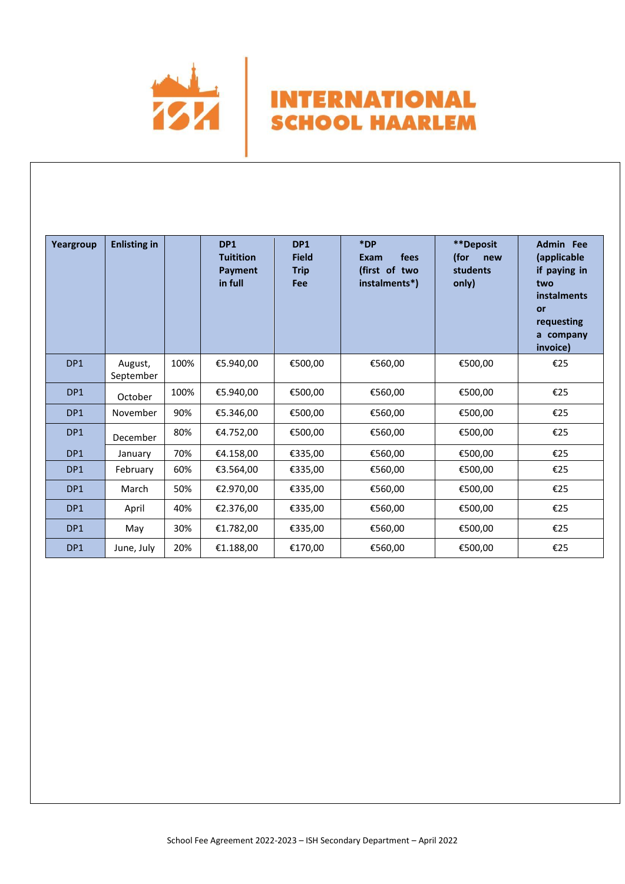

**Yeargroup** | Enlisting in | DP1 **Tuitition Payment in full DP1 Field Trip Fee \*DP Exam fees (first of two instalments\*) \*\*Deposit (for new students only) Admin Fee (applicable if paying in two instalments or requesting a company invoice)** DP1 August, September  $100\%$  €5.940,00  $\leftarrow$  €500,00  $\leftarrow$  €560,00  $\leftarrow$  €500,00  $\leftarrow$  €25 DP1 October 100% €5.940,00 €500,00 €560,00 €500,00 €25 DP1 November 90% €5.346,00 €500,00 €560,00 €500,00 €25 DP1 December 80% €4.752,00 €500,00 €560,00 €500,00 €25 DP1 January 70% €4.158,00 €335,00 €560,00 €500,00 €25 DP1 February 60% €3.564,00 €335,00 €560,00 €500,00 €25 DP1 March 50% €2.970,00 €335,00 €560,00 €500,00 €25 DP1 April 40% €2.376,00 €335,00 €560,00 €500,00 €25 DP1 May 30% €1.782,00 €335,00 €560,00 €500,00 €25 DP1 June, July 20% €1.188,00 €170,00 €560,00 €500,00 €25

**INTERNATIONAL** 

**SCHOOL HAARLEM**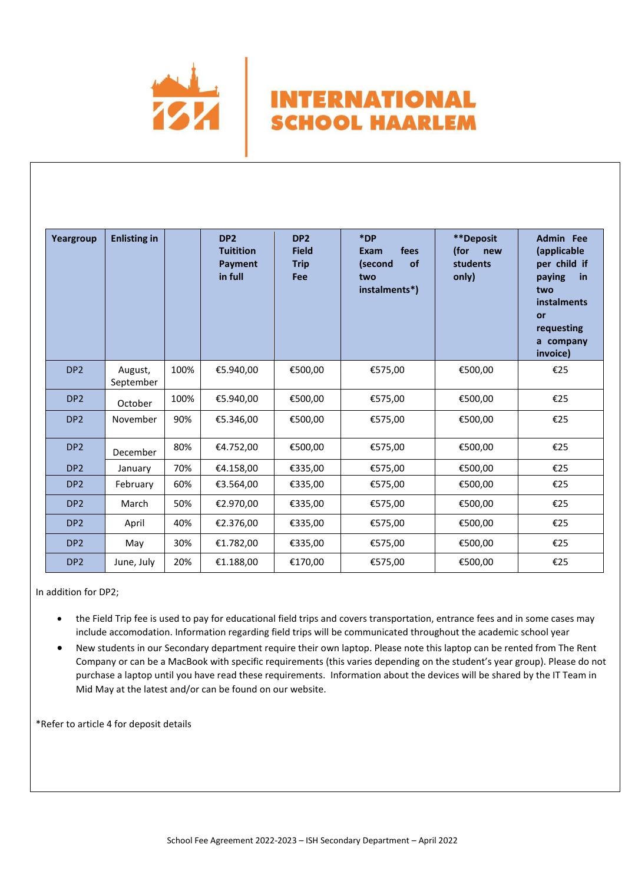

| Yeargroup       | <b>Enlisting in</b>  |      | DP <sub>2</sub><br><b>Tuitition</b><br>Payment<br>in full | DP <sub>2</sub><br><b>Field</b><br><b>Trip</b><br>Fee | *DP<br>fees<br><b>Exam</b><br>of<br>(second<br>two<br>instalments*) | **Deposit<br>(for<br>new<br>students<br>only) | <b>Admin</b> Fee<br>(applicable<br>per child if<br>paying<br>in<br>two<br><b>instalments</b><br>or<br>requesting<br>a company<br>invoice) |
|-----------------|----------------------|------|-----------------------------------------------------------|-------------------------------------------------------|---------------------------------------------------------------------|-----------------------------------------------|-------------------------------------------------------------------------------------------------------------------------------------------|
| DP <sub>2</sub> | August,<br>September | 100% | €5.940,00                                                 | €500,00                                               | €575,00                                                             | €500,00                                       | €25                                                                                                                                       |
| DP <sub>2</sub> | October              | 100% | €5.940,00                                                 | €500,00                                               | €575,00                                                             | €500,00                                       | €25                                                                                                                                       |
| DP <sub>2</sub> | November             | 90%  | €5.346,00                                                 | €500,00                                               | €575,00                                                             | €500,00                                       | €25                                                                                                                                       |
| DP <sub>2</sub> | December             | 80%  | €4.752,00                                                 | €500,00                                               | €575,00                                                             | €500,00                                       | €25                                                                                                                                       |
| DP <sub>2</sub> | January              | 70%  | €4.158,00                                                 | €335,00                                               | €575,00                                                             | €500,00                                       | €25                                                                                                                                       |
| DP <sub>2</sub> | February             | 60%  | €3.564,00                                                 | €335,00                                               | €575,00                                                             | €500,00                                       | €25                                                                                                                                       |
| DP <sub>2</sub> | March                | 50%  | €2.970,00                                                 | €335,00                                               | €575,00                                                             | €500,00                                       | €25                                                                                                                                       |
| DP <sub>2</sub> | April                | 40%  | €2.376,00                                                 | €335,00                                               | €575,00                                                             | €500,00                                       | €25                                                                                                                                       |
| DP <sub>2</sub> | May                  | 30%  | €1.782,00                                                 | €335,00                                               | €575,00                                                             | €500,00                                       | €25                                                                                                                                       |
| DP <sub>2</sub> | June, July           | 20%  | €1.188,00                                                 | €170,00                                               | €575,00                                                             | €500,00                                       | €25                                                                                                                                       |

**INTERNATIONAL** 

**SCHOOL HAARLEM** 

In addition for DP2;

- the Field Trip fee is used to pay for educational field trips and covers transportation, entrance fees and in some cases may include accomodation. Information regarding field trips will be communicated throughout the academic school year
- New students in our Secondary department require their own laptop. Please note this laptop can be rented from The Rent Company or can be a MacBook with specific requirements (this varies depending on the student's year group). Please do not purchase a laptop until you have read these requirements. Information about the devices will be shared by the IT Team in Mid May at the latest and/or can be found on our website.

\*Refer to article 4 for deposit details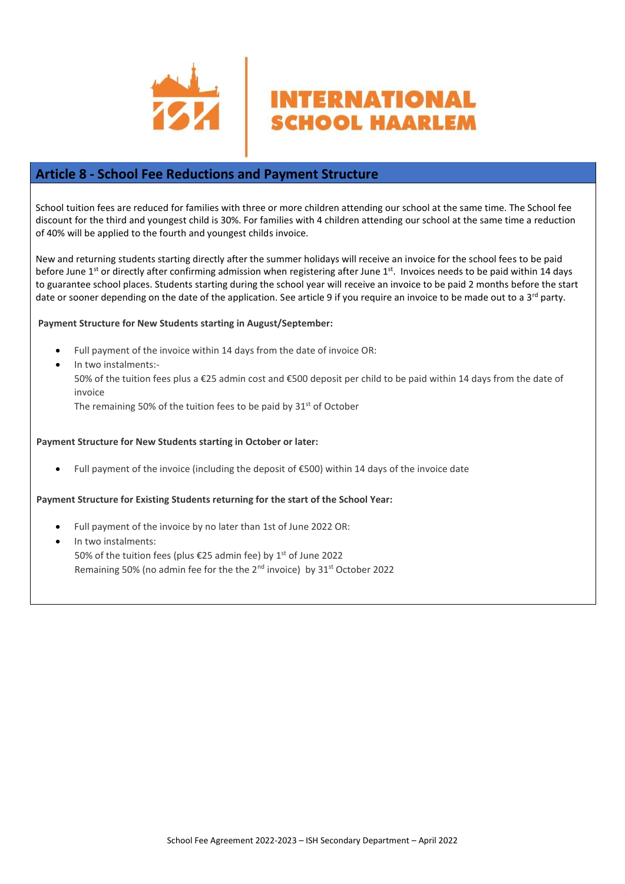

### **Article 8 - School Fee Reductions and Payment Structure**

School tuition fees are reduced for families with three or more children attending our school at the same time. The School fee discount for the third and youngest child is 30%. For families with 4 children attending our school at the same time a reduction of 40% will be applied to the fourth and youngest childs invoice.

**INTERNATIONAL** 

**SCHOOL HAARLEM** 

New and returning students starting directly after the summer holidays will receive an invoice for the school fees to be paid before June 1<sup>st</sup> or directly after confirming admission when registering after June 1<sup>st</sup>. Invoices needs to be paid within 14 days to guarantee school places. Students starting during the school year will receive an invoice to be paid 2 months before the start date or sooner depending on the date of the application. See article 9 if you require an invoice to be made out to a 3<sup>rd</sup> party.

#### **Payment Structure for New Students starting in August/September:**

- Full payment of the invoice within 14 days from the date of invoice OR:
- In two instalments:-

50% of the tuition fees plus a €25 admin cost and €500 deposit per child to be paid within 14 days from the date of invoice

The remaining 50% of the tuition fees to be paid by  $31<sup>st</sup>$  of October

#### **Payment Structure for New Students starting in October or later:**

• Full payment of the invoice (including the deposit of €500) within 14 days of the invoice date

#### **Payment Structure for Existing Students returning for the start of the School Year:**

- Full payment of the invoice by no later than 1st of June 2022 OR:
- In two instalments: 50% of the tuition fees (plus €25 admin fee) by 1<sup>st</sup> of June 2022 Remaining 50% (no admin fee for the the 2<sup>nd</sup> invoice) by 31<sup>st</sup> October 2022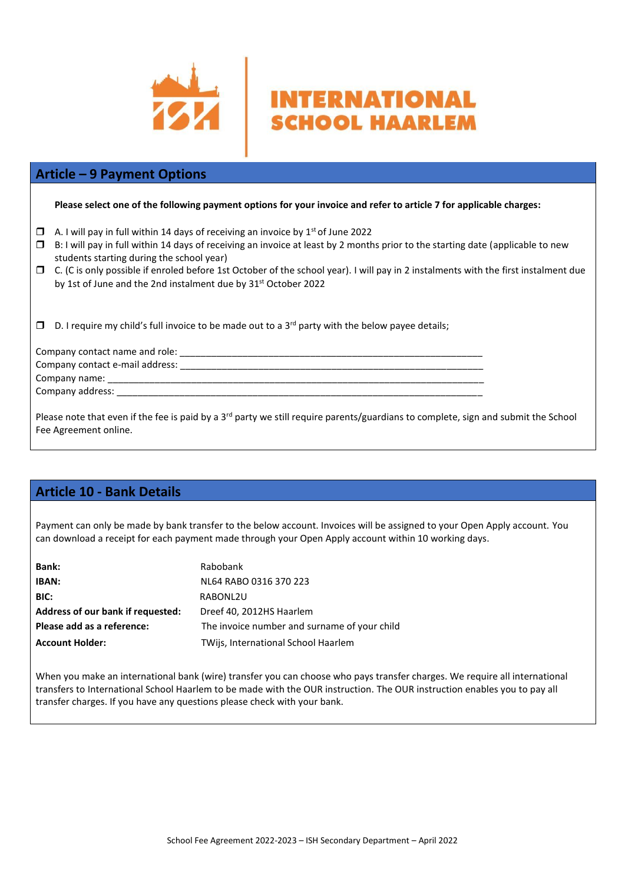

## **Article – 9 Payment Options**

**Please select one of the following payment options for your invoice and refer to article 7 for applicable charges:** 

- $\Box$  A. I will pay in full within 14 days of receiving an invoice by 1<sup>st</sup> of June 2022
- $\square$  B: I will pay in full within 14 days of receiving an invoice at least by 2 months prior to the starting date (applicable to new students starting during the school year)
- $\Box$  C. (C is only possible if enroled before 1st October of the school year). I will pay in 2 instalments with the first instalment due by 1st of June and the 2nd instalment due by 31<sup>st</sup> October 2022

**INTERNATIONAL** 

**SCHOOL HAARLEM** 

 $\square$  D. I require my child's full invoice to be made out to a 3<sup>rd</sup> party with the below payee details;

| Company contact name and role:  |  |
|---------------------------------|--|
| Company contact e-mail address: |  |
| Company name:                   |  |
| Company address:                |  |

Please note that even if the fee is paid by a  $3^{rd}$  party we still require parents/guardians to complete, sign and submit the School Fee Agreement online.

### **Article 10 - Bank Details**

Payment can only be made by bank transfer to the below account. Invoices will be assigned to your Open Apply account. You can download a receipt for each payment made through your Open Apply account within 10 working days.

| <b>Bank:</b>                      | Rabobank                                     |
|-----------------------------------|----------------------------------------------|
| IBAN:                             | NL64 RABO 0316 370 223                       |
| BIC:                              | RABONL2U                                     |
| Address of our bank if requested: | Dreef 40, 2012HS Haarlem                     |
| Please add as a reference:        | The invoice number and surname of your child |
| <b>Account Holder:</b>            | TWijs, International School Haarlem          |

When you make an international bank (wire) transfer you can choose who pays transfer charges. We require all international transfers to International School Haarlem to be made with the OUR instruction. The OUR instruction enables you to pay all transfer charges. If you have any questions please check with your bank.